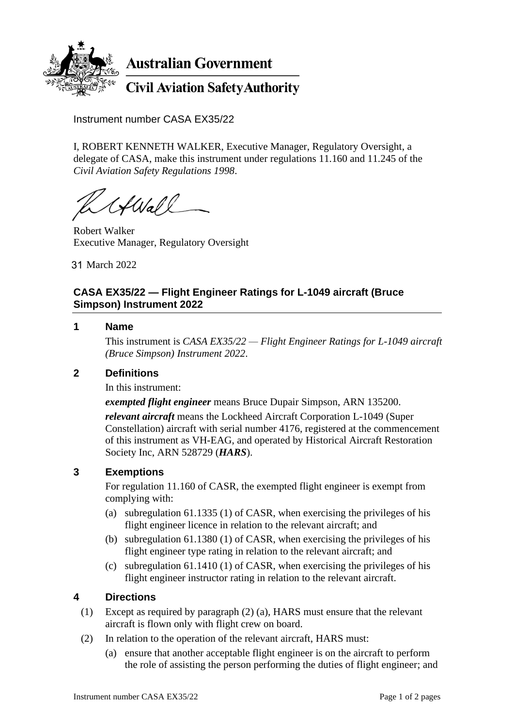

**Australian Government** 

**Civil Aviation Safety Authority** 

Instrument number CASA EX35/22

I, ROBERT KENNETH WALKER, Executive Manager, Regulatory Oversight, a delegate of CASA, make this instrument under regulations 11.160 and 11.245 of the *Civil Aviation Safety Regulations 1998*.

HWall

Robert Walker Executive Manager, Regulatory Oversight

March 2022 31

# **CASA EX35/22 — Flight Engineer Ratings for L-1049 aircraft (Bruce Simpson) Instrument 2022**

## **1 Name**

This instrument is *CASA EX35/22 — Flight Engineer Ratings for L-1049 aircraft (Bruce Simpson) Instrument 2022*.

## **2 Definitions**

In this instrument:

*exempted flight engineer* means Bruce Dupair Simpson, ARN 135200.

*relevant aircraft* means the Lockheed Aircraft Corporation L-1049 (Super Constellation) aircraft with serial number 4176, registered at the commencement of this instrument as VH-EAG, and operated by Historical Aircraft Restoration Society Inc, ARN 528729 (*HARS*).

## **3 Exemptions**

For regulation 11.160 of CASR, the exempted flight engineer is exempt from complying with:

- (a) subregulation 61.1335 (1) of CASR, when exercising the privileges of his flight engineer licence in relation to the relevant aircraft; and
- (b) subregulation 61.1380 (1) of CASR, when exercising the privileges of his flight engineer type rating in relation to the relevant aircraft; and
- (c) subregulation 61.1410 (1) of CASR, when exercising the privileges of his flight engineer instructor rating in relation to the relevant aircraft.

## **4 Directions**

- (1) Except as required by paragraph (2) (a), HARS must ensure that the relevant aircraft is flown only with flight crew on board.
- (2) In relation to the operation of the relevant aircraft, HARS must:
	- (a) ensure that another acceptable flight engineer is on the aircraft to perform the role of assisting the person performing the duties of flight engineer; and